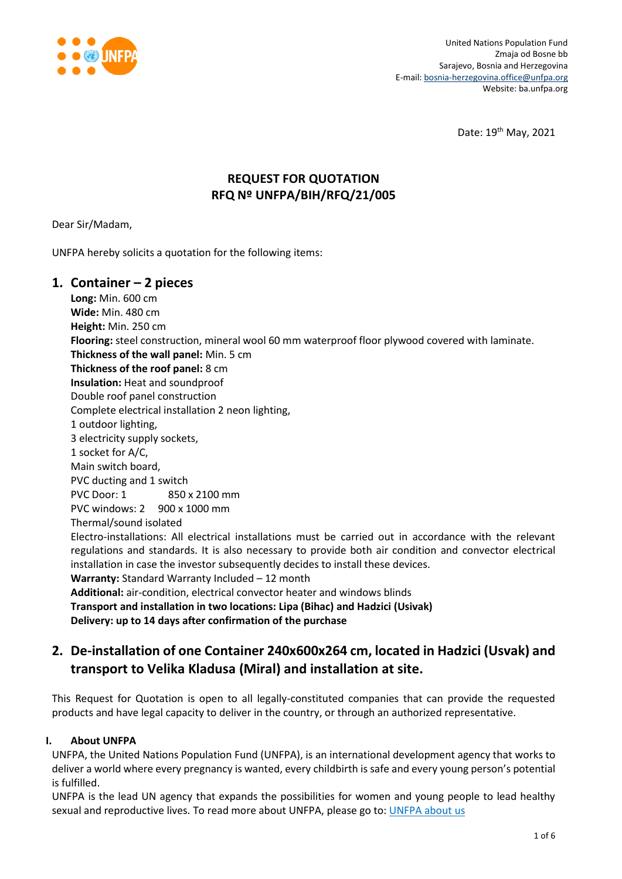

Date: 19th May, 2021

# **REQUEST FOR QUOTATION RFQ Nº UNFPA/BIH/RFQ/21/005**

Dear Sir/Madam,

UNFPA hereby solicits a quotation for the following items:

## **1. Container – 2 pieces**

**Long:** Min. 600 cm **Wide:** Min. 480 cm **Height:** Min. 250 cm **Flooring:** steel construction, mineral wool 60 mm waterproof floor plywood covered with laminate. **Thickness of the wall panel:** Min. 5 cm **Thickness of the roof panel:** 8 cm **Insulation:** Heat and soundproof Double roof panel construction Complete electrical installation 2 neon lighting, 1 outdoor lighting, 3 electricity supply sockets, 1 socket for A/C, Main switch board, PVC ducting and 1 switch PVC Door: 1 850 x 2100 mm PVC windows: 2 900 x 1000 mm Thermal/sound isolated Electro-installations: All electrical installations must be carried out in accordance with the relevant regulations and standards. It is also necessary to provide both air condition and convector electrical installation in case the investor subsequently decides to install these devices. **Warranty:** Standard Warranty Included – 12 month **Additional:** air-condition, electrical convector heater and windows blinds **Transport and installation in two locations: Lipa (Bihac) and Hadzici (Usivak) Delivery: up to 14 days after confirmation of the purchase**

# **2. De-installation of one Container 240x600x264 cm, located in Hadzici (Usvak) and transport to Velika Kladusa (Miral) and installation at site.**

This Request for Quotation is open to all legally-constituted companies that can provide the requested products and have legal capacity to deliver in the country, or through an authorized representative.

### **I. About UNFPA**

UNFPA, the United Nations Population Fund (UNFPA), is an international development agency that works to deliver a world where every pregnancy is wanted, every childbirth is safe and every young person's potential is fulfilled.

UNFPA is the lead UN agency that expands the possibilities for women and young people to lead healthy sexual and reproductive lives. To read more about UNFPA, please go to[: UNFPA about us](http://www.unfpa.org/about-us)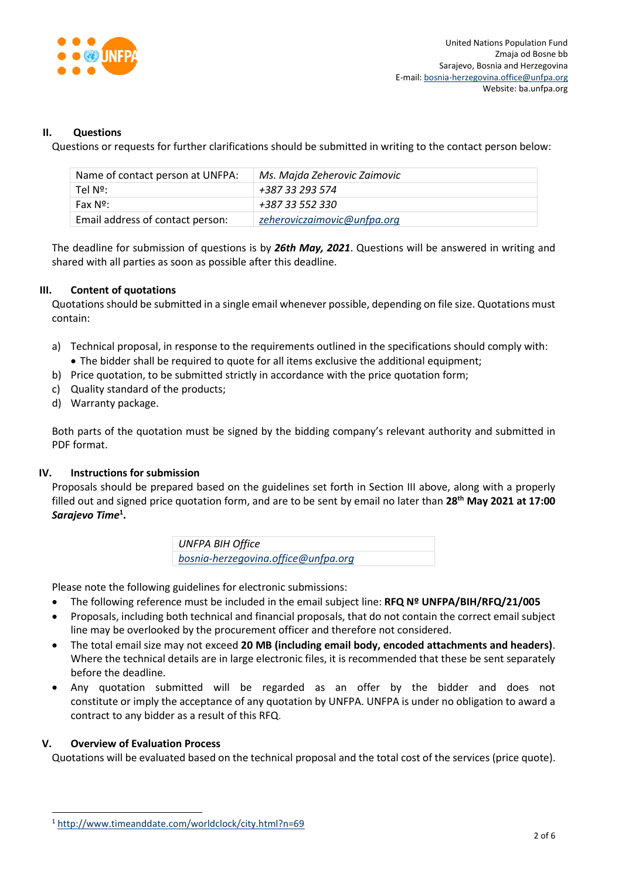

#### **II. Questions**

Questions or requests for further clarifications should be submitted in writing to the contact person below:

| Name of contact person at UNFPA: | Ms. Majda Zeherovic Zaimovic |
|----------------------------------|------------------------------|
| Tel Nº:                          | +387 33 293 574              |
| Fax Nº:                          | +387 33 552 330              |
| Email address of contact person: | zeheroviczaimovic@unfpa.org  |

The deadline for submission of questions is by *26th May, 2021*. Questions will be answered in writing and shared with all parties as soon as possible after this deadline.

#### **III. Content of quotations**

Quotations should be submitted in a single email whenever possible, depending on file size. Quotations must contain:

- a) Technical proposal, in response to the requirements outlined in the specifications should comply with: The bidder shall be required to quote for all items exclusive the additional equipment;
- b) Price quotation, to be submitted strictly in accordance with the price quotation form;
- c) Quality standard of the products;
- d) Warranty package.

Both parts of the quotation must be signed by the bidding company's relevant authority and submitted in PDF format.

#### **IV. Instructions for submission**

Proposals should be prepared based on the guidelines set forth in Section III above, along with a properly filled out and signed price quotation form, and are to be sent by email no later than **28 th May 2021 at 17:00** *Sarajevo Time***<sup>1</sup> .**

> *UNFPA BIH Office [bosnia-herzegovina.office@unfpa.org](mailto:bosnia-herzegovina.office@unfpa.org)*

Please note the following guidelines for electronic submissions:

- The following reference must be included in the email subject line: **RFQ Nº UNFPA/BIH/RFQ/21/005**
- Proposals, including both technical and financial proposals, that do not contain the correct email subject line may be overlooked by the procurement officer and therefore not considered.
- The total email size may not exceed **20 MB (including email body, encoded attachments and headers)**. Where the technical details are in large electronic files, it is recommended that these be sent separately before the deadline.
- Any quotation submitted will be regarded as an offer by the bidder and does not constitute or imply the acceptance of any quotation by UNFPA. UNFPA is under no obligation to award a contract to any bidder as a result of this RFQ.

#### **V. Overview of Evaluation Process**

l

Quotations will be evaluated based on the technical proposal and the total cost of the services (price quote).

<sup>1</sup> <http://www.timeanddate.com/worldclock/city.html?n=69>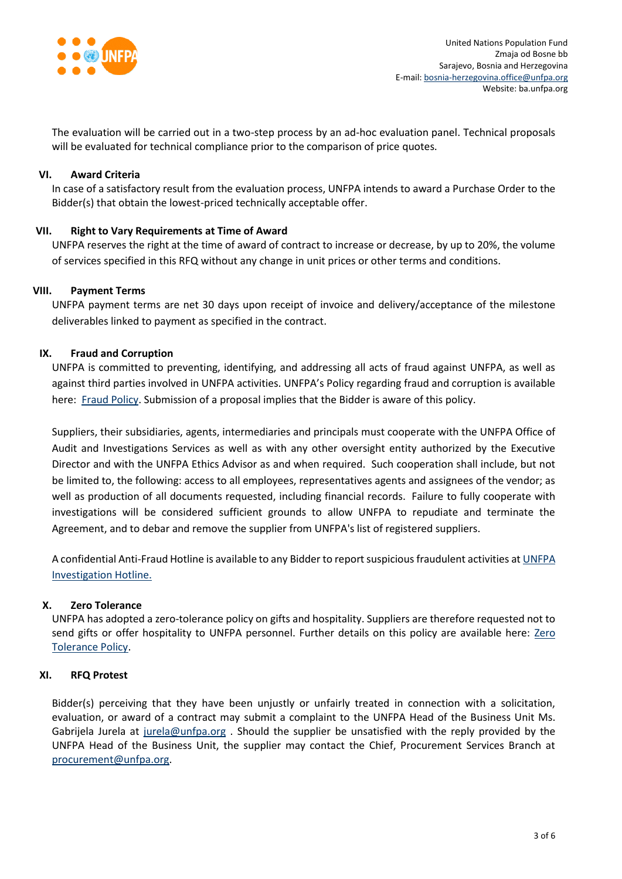

The evaluation will be carried out in a two-step process by an ad-hoc evaluation panel. Technical proposals will be evaluated for technical compliance prior to the comparison of price quotes.

#### **VI. Award Criteria**

In case of a satisfactory result from the evaluation process, UNFPA intends to award a Purchase Order to the Bidder(s) that obtain the lowest-priced technically acceptable offer.

#### **VII. Right to Vary Requirements at Time of Award**

UNFPA reserves the right at the time of award of contract to increase or decrease, by up to 20%, the volume of services specified in this RFQ without any change in unit prices or other terms and conditions.

#### **VIII. Payment Terms**

UNFPA payment terms are net 30 days upon receipt of invoice and delivery/acceptance of the milestone deliverables linked to payment as specified in the contract.

#### **IX. [Fraud and Corruption](http://www.unfpa.org/about-procurement#FraudCorruption)**

UNFPA is committed to preventing, identifying, and addressing all acts of fraud against UNFPA, as well as against third parties involved in UNFPA activities. UNFPA's Policy regarding fraud and corruption is available here: [Fraud Policy.](http://www.unfpa.org/resources/fraud-policy-2009#overlay-context=node/10356/draft) Submission of a proposal implies that the Bidder is aware of this policy.

Suppliers, their subsidiaries, agents, intermediaries and principals must cooperate with the UNFPA Office of Audit and Investigations Services as well as with any other oversight entity authorized by the Executive Director and with the UNFPA Ethics Advisor as and when required. Such cooperation shall include, but not be limited to, the following: access to all employees, representatives agents and assignees of the vendor; as well as production of all documents requested, including financial records. Failure to fully cooperate with investigations will be considered sufficient grounds to allow UNFPA to repudiate and terminate the Agreement, and to debar and remove the supplier from UNFPA's list of registered suppliers.

A confidential Anti-Fraud Hotline is available to any Bidder to report suspicious fraudulent activities a[t UNFPA](http://web2.unfpa.org/help/hotline.cfm)  [Investigation Hotline.](http://web2.unfpa.org/help/hotline.cfm)

#### **X. Zero Tolerance**

UNFPA has adopted a zero-tolerance policy on gifts and hospitality. Suppliers are therefore requested not to send gifts or offer hospitality to UNFPA personnel. Further details on this policy are available here: Zero [Tolerance Policy.](http://www.unfpa.org/about-procurement#ZeroTolerance)

#### **XI. RFQ Protest**

Bidder(s) perceiving that they have been unjustly or unfairly treated in connection with a solicitation, evaluation, or award of a contract may submit a complaint to the UNFPA Head of the Business Unit Ms. Gabrijela Jurela at [jurela@unfpa.org](mailto:jurela@unfpa.org) . Should the supplier be unsatisfied with the reply provided by the UNFPA Head of the Business Unit, the supplier may contact the Chief, Procurement Services Branch at [procurement@unfpa.org.](mailto:procurement@unfpa.org)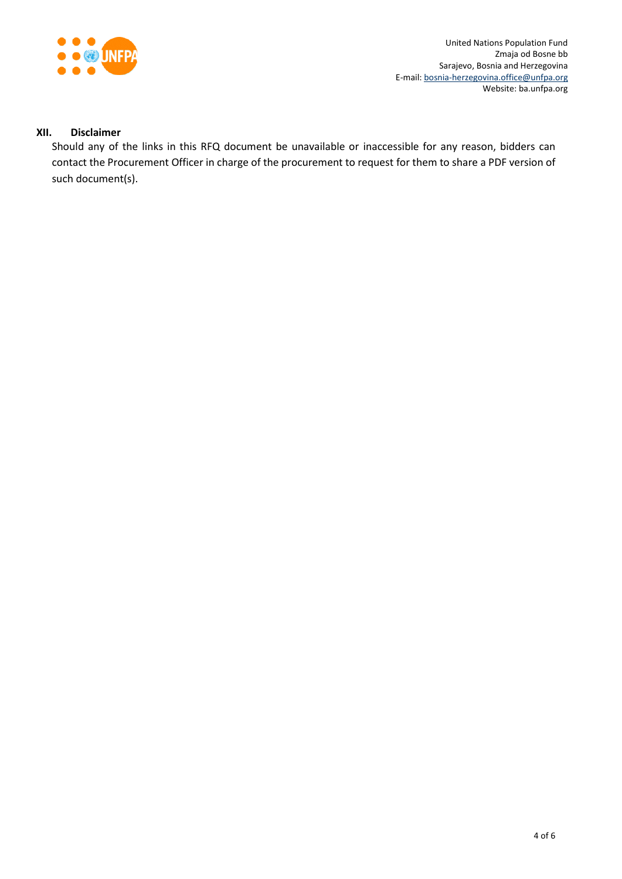

#### **XII. Disclaimer**

Should any of the links in this RFQ document be unavailable or inaccessible for any reason, bidders can contact the Procurement Officer in charge of the procurement to request for them to share a PDF version of such document(s).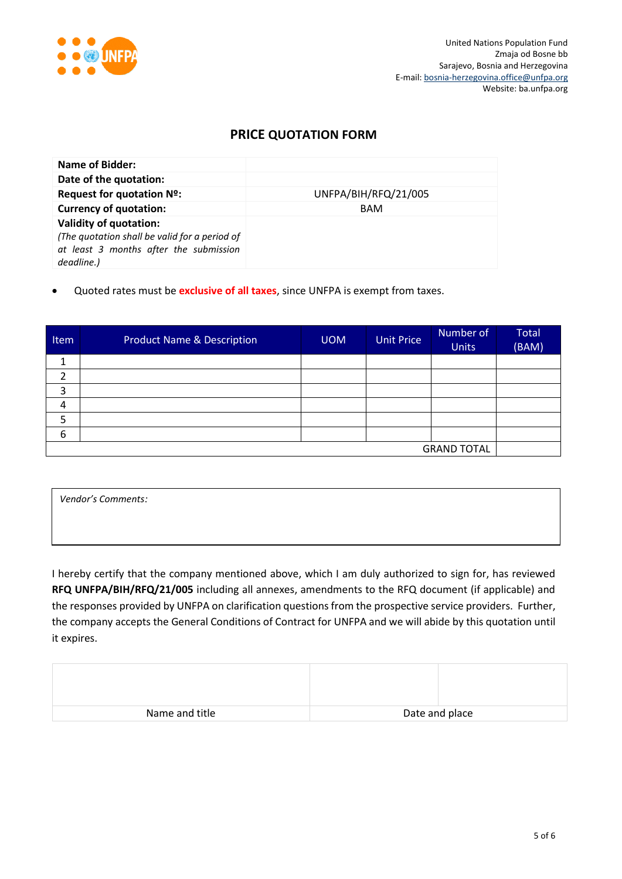

## **PRICE QUOTATION FORM**

| Name of Bidder:                                                                                                                        |                      |
|----------------------------------------------------------------------------------------------------------------------------------------|----------------------|
| Date of the quotation:                                                                                                                 |                      |
| Request for quotation Nº:                                                                                                              | UNFPA/BIH/RFQ/21/005 |
| <b>Currency of quotation:</b>                                                                                                          | <b>BAM</b>           |
| <b>Validity of quotation:</b><br>(The quotation shall be valid for a period of<br>at least 3 months after the submission<br>deadline.) |                      |

Quoted rates must be **exclusive of all taxes**, since UNFPA is exempt from taxes.

| Item               | <b>Product Name &amp; Description</b> | <b>UOM</b> | <b>Unit Price</b> | Number of<br><b>Units</b> | <b>Total</b><br>(BAM) |
|--------------------|---------------------------------------|------------|-------------------|---------------------------|-----------------------|
| ᅩ                  |                                       |            |                   |                           |                       |
| 2                  |                                       |            |                   |                           |                       |
| 3                  |                                       |            |                   |                           |                       |
| 4                  |                                       |            |                   |                           |                       |
| 5                  |                                       |            |                   |                           |                       |
| 6                  |                                       |            |                   |                           |                       |
| <b>GRAND TOTAL</b> |                                       |            |                   |                           |                       |

*Vendor's Comments:*

I hereby certify that the company mentioned above, which I am duly authorized to sign for, has reviewed **RFQ UNFPA/BIH/RFQ/21/005** including all annexes, amendments to the RFQ document (if applicable) and the responses provided by UNFPA on clarification questions from the prospective service providers. Further, the company accepts the General Conditions of Contract for UNFPA and we will abide by this quotation until it expires.